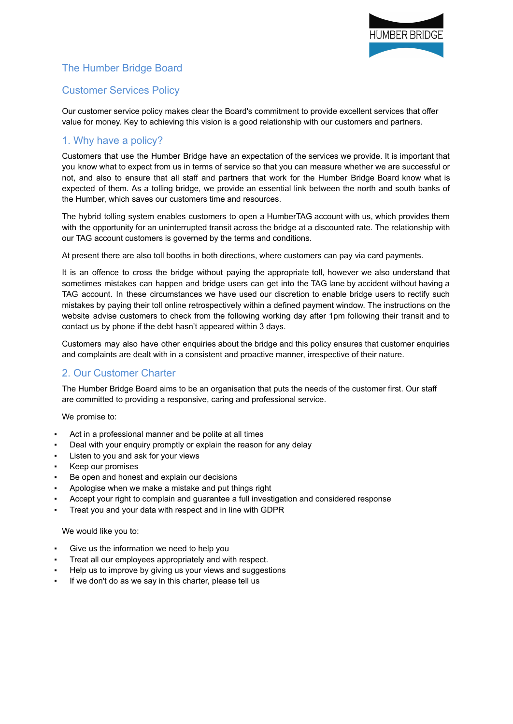

# The Humber Bridge Board

# Customer Services Policy

Our customer service policy makes clear the Board's commitment to provide excellent services that offer value for money. Key to achieving this vision is a good relationship with our customers and partners.

### 1. Why have a policy?

Customers that use the Humber Bridge have an expectation of the services we provide. It is important that you know what to expect from us in terms of service so that you can measure whether we are successful or not, and also to ensure that all staff and partners that work for the Humber Bridge Board know what is expected of them. As a tolling bridge, we provide an essential link between the north and south banks of the Humber, which saves our customers time and resources.

The hybrid tolling system enables customers to open a HumberTAG account with us, which provides them with the opportunity for an uninterrupted transit across the bridge at a discounted rate. The relationship with our TAG account customers is governed by the terms and conditions.

At present there are also toll booths in both directions, where customers can pay via card payments.

It is an offence to cross the bridge without paying the appropriate toll, however we also understand that sometimes mistakes can happen and bridge users can get into the TAG lane by accident without having a TAG account. In these circumstances we have used our discretion to enable bridge users to rectify such mistakes by paying their toll online retrospectively within a defined payment window. The instructions on the website advise customers to check from the following working day after 1pm following their transit and to contact us by phone if the debt hasn't appeared within 3 days.

Customers may also have other enquiries about the bridge and this policy ensures that customer enquiries and complaints are dealt with in a consistent and proactive manner, irrespective of their nature.

#### 2. Our Customer Charter

The Humber Bridge Board aims to be an organisation that puts the needs of the customer first. Our staff are committed to providing a responsive, caring and professional service.

We promise to:

- Act in a professional manner and be polite at all times
- Deal with your enquiry promptly or explain the reason for any delay
- Listen to you and ask for your views
- Keep our promises
- Be open and honest and explain our decisions
- Apologise when we make a mistake and put things right
- Accept your right to complain and guarantee a full investigation and considered response
- Treat you and your data with respect and in line with GDPR

#### We would like you to:

- Give us the information we need to help you
- Treat all our employees appropriately and with respect.
- Help us to improve by giving us your views and suggestions
- If we don't do as we say in this charter, please tell us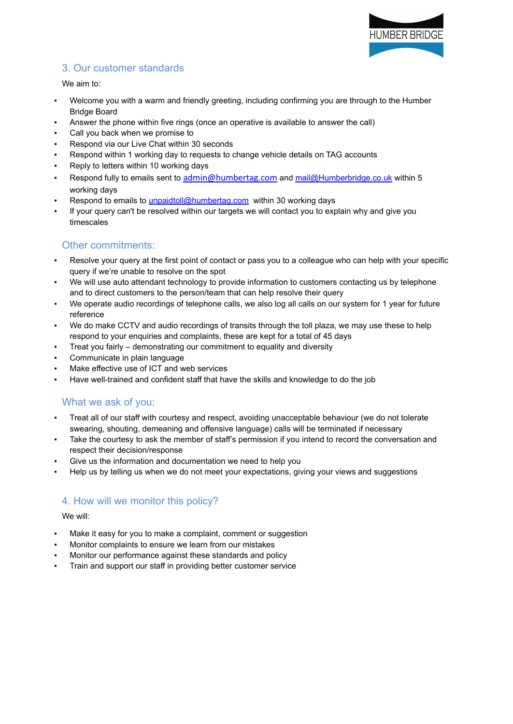

# 3. Our customer standards

#### We aim to:

- Welcome you with a warm and friendly greeting, including confirming you are through to the Humber Bridge Board
- Answer the phone within five rings (once an operative is available to answer the call)
- Call you back when we promise to
- Respond via our Live Chat within 30 seconds
- Respond within 1 working day to requests to change vehicle details on TAG accounts
- Reply to letters within 10 working days
- Respond fully to emails sent to admin@humbertag.com and [mail@Humberbridge.co.uk](mailto:mail@Humberbridge.co.uk) within 5 working days
- Respond to emails to [unpaidtoll@humbertag.com](mailto:unpaidtoll@humbertag.com) within 30 working days
- If your query can't be resolved within our targets we will contact you to explain why and give you timescales

## Other commitments:

- Resolve your query at the first point of contact or pass you to a colleague who can help with your specific query if we're unable to resolve on the spot
- We will use auto attendant technology to provide information to customers contacting us by telephone and to direct customers to the person/team that can help resolve their query
- We operate audio recordings of telephone calls, we also log all calls on our system for 1 year for future reference
- We do make CCTV and audio recordings of transits through the toll plaza, we may use these to help respond to your enquiries and complaints, these are kept for a total of 45 days
- Treat you fairly demonstrating our commitment to equality and diversity
- Communicate in plain language
- Make effective use of ICT and web services
- Have well-trained and confident staff that have the skills and knowledge to do the job

### What we ask of you:

- Treat all of our staff with courtesy and respect, avoiding unacceptable behaviour (we do not tolerate swearing, shouting, demeaning and offensive language) calls will be terminated if necessary
- Take the courtesy to ask the member of staff's permission if you intend to record the conversation and respect their decision/response
- Give us the information and documentation we need to help you
- Help us by telling us when we do not meet your expectations, giving your views and suggestions

## 4. How will we monitor this policy?

#### We will:

- Make it easy for you to make a complaint, comment or suggestion
- Monitor complaints to ensure we learn from our mistakes
- Monitor our performance against these standards and policy
- Train and support our staff in providing better customer service